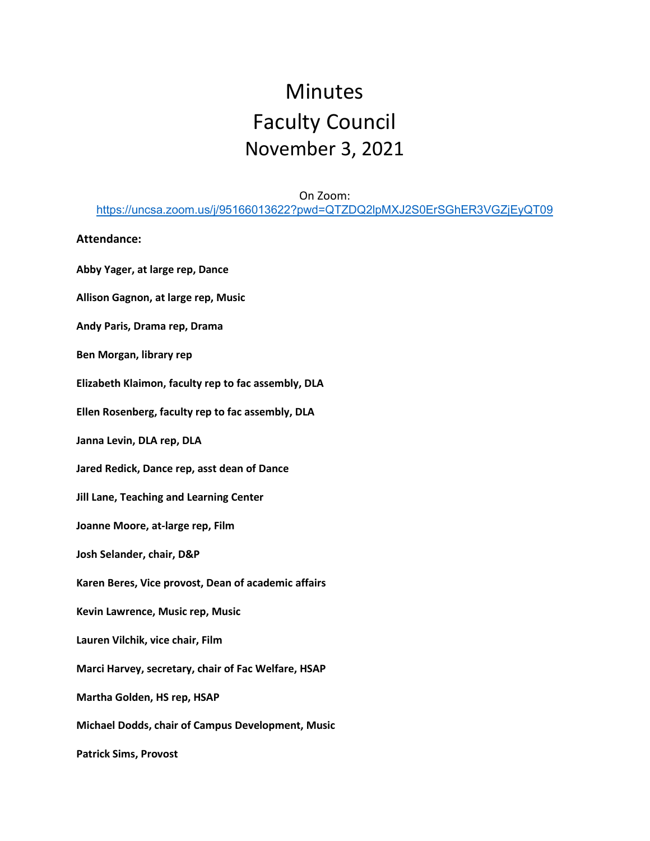# Minutes Faculty Council November 3, 2021

## On Zoom: <https://uncsa.zoom.us/j/95166013622?pwd=QTZDQ2lpMXJ2S0ErSGhER3VGZjEyQT09>

#### **Attendance:**

**Abby Yager, at large rep, Dance Allison Gagnon, at large rep, Music Andy Paris, Drama rep, Drama Ben Morgan, library rep Elizabeth Klaimon, faculty rep to fac assembly, DLA Ellen Rosenberg, faculty rep to fac assembly, DLA Janna Levin, DLA rep, DLA Jared Redick, Dance rep, asst dean of Dance Jill Lane, Teaching and Learning Center Joanne Moore, at-large rep, Film Josh Selander, chair, D&P Karen Beres, Vice provost, Dean of academic affairs Kevin Lawrence, Music rep, Music Lauren Vilchik, vice chair, Film Marci Harvey, secretary, chair of Fac Welfare, HSAP Martha Golden, HS rep, HSAP Michael Dodds, chair of Campus Development, Music Patrick Sims, Provost**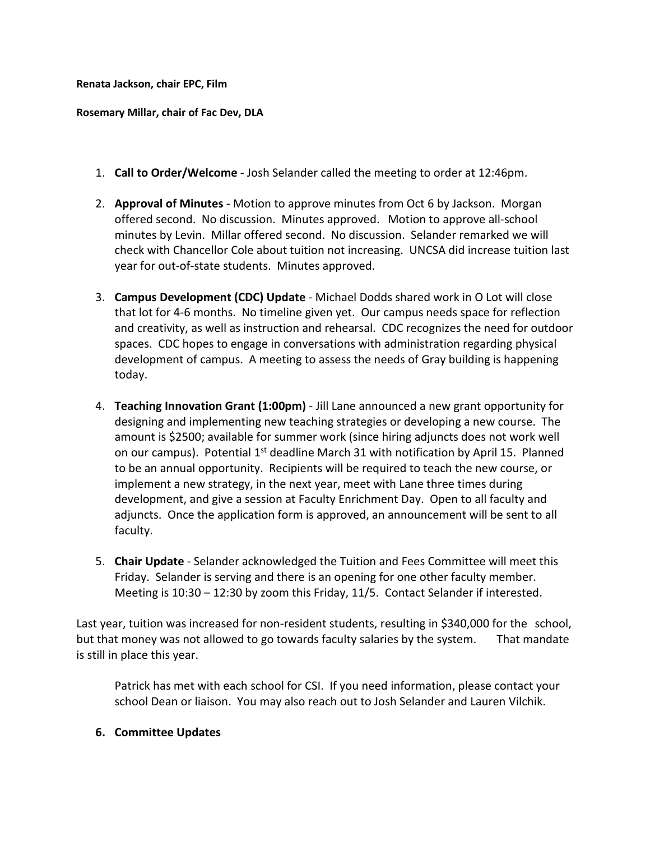### **Renata Jackson, chair EPC, Film**

#### **Rosemary Millar, chair of Fac Dev, DLA**

- 1. **Call to Order/Welcome** Josh Selander called the meeting to order at 12:46pm.
- 2. **Approval of Minutes** Motion to approve minutes from Oct 6 by Jackson. Morgan offered second. No discussion. Minutes approved. Motion to approve all-school minutes by Levin. Millar offered second. No discussion. Selander remarked we will check with Chancellor Cole about tuition not increasing. UNCSA did increase tuition last year for out-of-state students. Minutes approved.
- 3. **Campus Development (CDC) Update** Michael Dodds shared work in O Lot will close that lot for 4-6 months. No timeline given yet. Our campus needs space for reflection and creativity, as well as instruction and rehearsal. CDC recognizes the need for outdoor spaces. CDC hopes to engage in conversations with administration regarding physical development of campus. A meeting to assess the needs of Gray building is happening today.
- 4. **Teaching Innovation Grant (1:00pm)** Jill Lane announced a new grant opportunity for designing and implementing new teaching strategies or developing a new course. The amount is \$2500; available for summer work (since hiring adjuncts does not work well on our campus). Potential  $1<sup>st</sup>$  deadline March 31 with notification by April 15. Planned to be an annual opportunity. Recipients will be required to teach the new course, or implement a new strategy, in the next year, meet with Lane three times during development, and give a session at Faculty Enrichment Day. Open to all faculty and adjuncts. Once the application form is approved, an announcement will be sent to all faculty.
- 5. **Chair Update** Selander acknowledged the Tuition and Fees Committee will meet this Friday. Selander is serving and there is an opening for one other faculty member. Meeting is 10:30 – 12:30 by zoom this Friday, 11/5. Contact Selander if interested.

Last year, tuition was increased for non-resident students, resulting in \$340,000 for the school, but that money was not allowed to go towards faculty salaries by the system. That mandate is still in place this year.

Patrick has met with each school for CSI. If you need information, please contact your school Dean or liaison. You may also reach out to Josh Selander and Lauren Vilchik.

# **6. Committee Updates**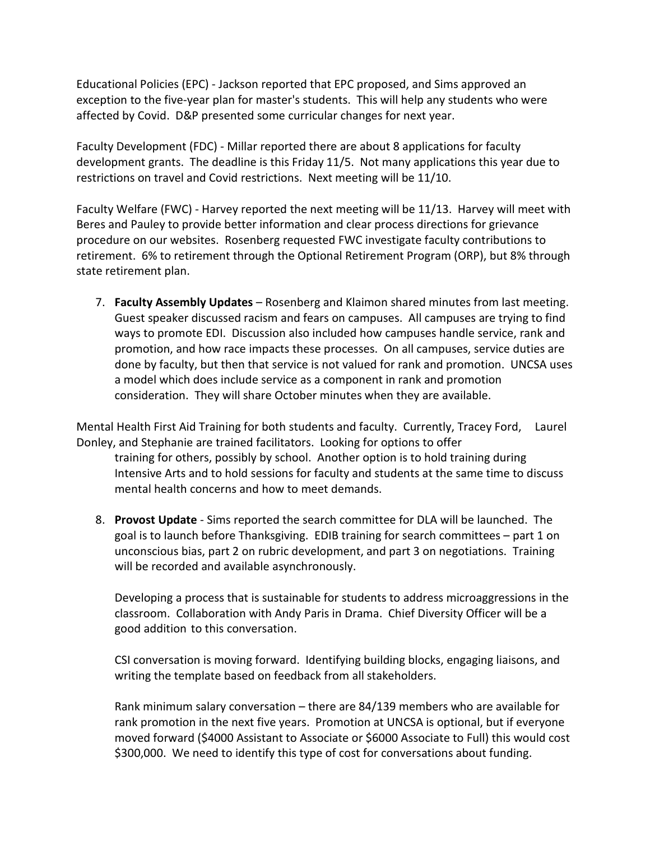Educational Policies (EPC) - Jackson reported that EPC proposed, and Sims approved an exception to the five-year plan for master's students. This will help any students who were affected by Covid. D&P presented some curricular changes for next year.

Faculty Development (FDC) - Millar reported there are about 8 applications for faculty development grants. The deadline is this Friday 11/5. Not many applications this year due to restrictions on travel and Covid restrictions. Next meeting will be 11/10.

Faculty Welfare (FWC) - Harvey reported the next meeting will be 11/13. Harvey will meet with Beres and Pauley to provide better information and clear process directions for grievance procedure on our websites. Rosenberg requested FWC investigate faculty contributions to retirement. 6% to retirement through the Optional Retirement Program (ORP), but 8% through state retirement plan.

7. **Faculty Assembly Updates** – Rosenberg and Klaimon shared minutes from last meeting. Guest speaker discussed racism and fears on campuses. All campuses are trying to find ways to promote EDI. Discussion also included how campuses handle service, rank and promotion, and how race impacts these processes. On all campuses, service duties are done by faculty, but then that service is not valued for rank and promotion. UNCSA uses a model which does include service as a component in rank and promotion consideration. They will share October minutes when they are available.

Mental Health First Aid Training for both students and faculty. Currently, Tracey Ford, Laurel Donley, and Stephanie are trained facilitators. Looking for options to offer

training for others, possibly by school. Another option is to hold training during Intensive Arts and to hold sessions for faculty and students at the same time to discuss mental health concerns and how to meet demands.

8. **Provost Update** - Sims reported the search committee for DLA will be launched. The goal is to launch before Thanksgiving. EDIB training for search committees – part 1 on unconscious bias, part 2 on rubric development, and part 3 on negotiations. Training will be recorded and available asynchronously.

Developing a process that is sustainable for students to address microaggressions in the classroom. Collaboration with Andy Paris in Drama. Chief Diversity Officer will be a good addition to this conversation.

CSI conversation is moving forward. Identifying building blocks, engaging liaisons, and writing the template based on feedback from all stakeholders.

Rank minimum salary conversation – there are 84/139 members who are available for rank promotion in the next five years. Promotion at UNCSA is optional, but if everyone moved forward (\$4000 Assistant to Associate or \$6000 Associate to Full) this would cost \$300,000. We need to identify this type of cost for conversations about funding.